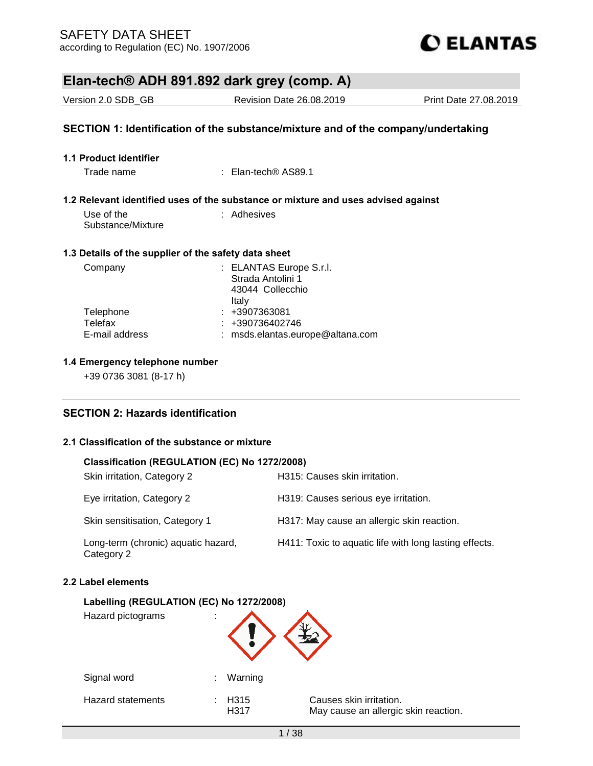

| Elan-tech® ADH 891.892 dark grey (comp. A)           |                                                                                   |                       |  |  |
|------------------------------------------------------|-----------------------------------------------------------------------------------|-----------------------|--|--|
| Version 2.0 SDB_GB                                   | <b>Revision Date 26.08.2019</b>                                                   | Print Date 27,08,2019 |  |  |
|                                                      | SECTION 1: Identification of the substance/mixture and of the company/undertaking |                       |  |  |
| 1.1 Product identifier                               |                                                                                   |                       |  |  |
| Trade name                                           | $\pm$ Elan-tech® AS89.1                                                           |                       |  |  |
|                                                      | 1.2 Relevant identified uses of the substance or mixture and uses advised against |                       |  |  |
| Use of the<br>Substance/Mixture                      | : Adhesives                                                                       |                       |  |  |
| 1.3 Details of the supplier of the safety data sheet |                                                                                   |                       |  |  |
| Company                                              | : ELANTAS Europe S.r.l.<br>Strada Antolini 1<br>43044 Collecchio<br>Italy         |                       |  |  |
| Telephone<br>Telefax<br>E-mail address               | $: +3907363081$<br>+390736402746<br>msds.elantas.europe@altana.com                |                       |  |  |

## **1.4 Emergency telephone number**

+39 0736 3081 (8-17 h)

## **SECTION 2: Hazards identification**

## **2.1 Classification of the substance or mixture**

## **Classification (REGULATION (EC) No 1272/2008)**

| Skin irritation, Category 2                       | H315: Causes skin irritation.                          |
|---------------------------------------------------|--------------------------------------------------------|
| Eye irritation, Category 2                        | H319: Causes serious eye irritation.                   |
| Skin sensitisation, Category 1                    | H317: May cause an allergic skin reaction.             |
| Long-term (chronic) aquatic hazard,<br>Category 2 | H411: Toxic to aquatic life with long lasting effects. |

### **2.2 Label elements**

## **Labelling (REGULATION (EC) No 1272/2008)**

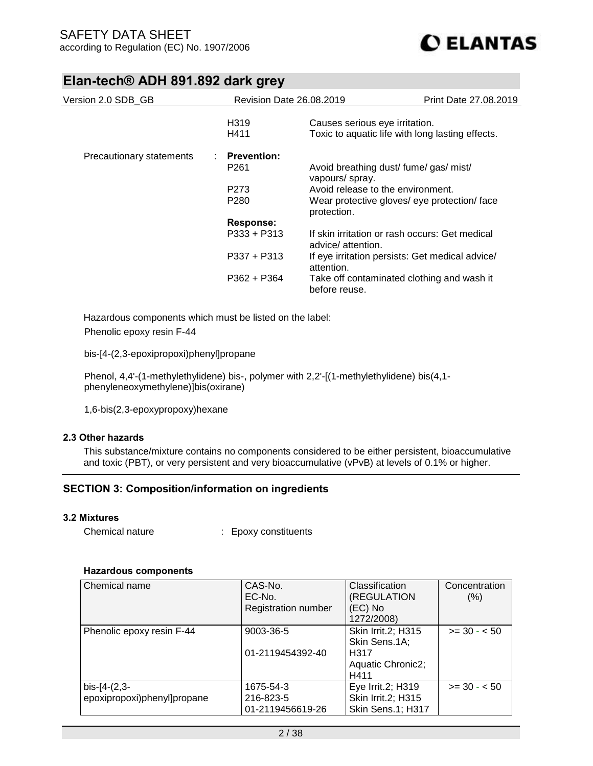

| Version 2.0 SDB_GB       | Revision Date 26.08.2019 | <b>Print Date 27.08.2019</b>                                        |  |
|--------------------------|--------------------------|---------------------------------------------------------------------|--|
|                          | H <sub>3</sub> 19        | Causes serious eye irritation.                                      |  |
|                          | H411                     | Toxic to aquatic life with long lasting effects.                    |  |
| Precautionary statements | $:$ Prevention:          |                                                                     |  |
|                          | P <sub>261</sub>         | Avoid breathing dust/ fume/ gas/ mist/<br>vapours/ spray.           |  |
|                          | P <sub>273</sub>         | Avoid release to the environment.                                   |  |
|                          | P <sub>280</sub>         | Wear protective gloves/ eye protection/ face<br>protection.         |  |
|                          | Response:                |                                                                     |  |
|                          | $P333 + P313$            | If skin irritation or rash occurs: Get medical<br>advice/attention. |  |
|                          | $P337 + P313$            | If eye irritation persists: Get medical advice/<br>attention.       |  |
|                          | $P362 + P364$            | Take off contaminated clothing and wash it<br>before reuse.         |  |

Hazardous components which must be listed on the label: Phenolic epoxy resin F-44

bis-[4-(2,3-epoxipropoxi)phenyl]propane

Phenol, 4,4'-(1-methylethylidene) bis-, polymer with 2,2'-[(1-methylethylidene) bis(4,1 phenyleneoxymethylene)]bis(oxirane)

1,6-bis(2,3-epoxypropoxy)hexane

### **2.3 Other hazards**

This substance/mixture contains no components considered to be either persistent, bioaccumulative and toxic (PBT), or very persistent and very bioaccumulative (vPvB) at levels of 0.1% or higher.

## **SECTION 3: Composition/information on ingredients**

### **3.2 Mixtures**

| Chemical nature<br><b>Epoxy constituents</b> |
|----------------------------------------------|
|----------------------------------------------|

### **Hazardous components**

| Chemical name                                 | CAS-No.<br>EC-No.      | Classification<br>(REGULATION                  | Concentration<br>(% ) |
|-----------------------------------------------|------------------------|------------------------------------------------|-----------------------|
|                                               | Registration number    | (EC) No<br>1272/2008)                          |                       |
| Phenolic epoxy resin F-44                     | 9003-36-5              | <b>Skin Irrit.2; H315</b><br>Skin Sens.1A;     | $>= 30 - 50$          |
|                                               | 01-2119454392-40       | H317<br>Aquatic Chronic2;<br>H411              |                       |
| $bis-[4-(2,3-$<br>epoxipropoxi)phenyl]propane | 1675-54-3<br>216-823-5 | Eye Irrit.2; H319<br><b>Skin Irrit.2; H315</b> | $>= 30 - 50$          |
|                                               | 01-2119456619-26       | Skin Sens.1; H317                              |                       |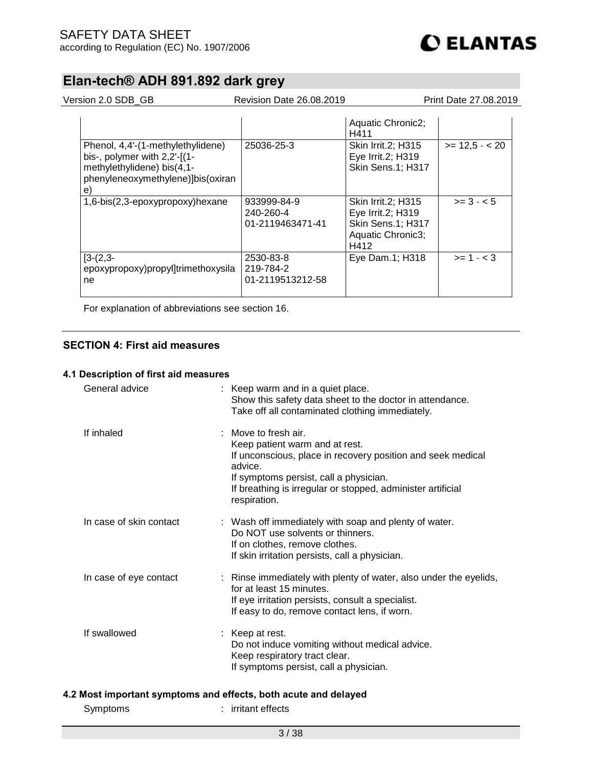Version 2.0 SDB\_GB Revision Date 26.08.2019 Print Date 27.08.2019

|                                                                                                                                                   |                                              | Aquatic Chronic2;<br>H411                                                                 |                |
|---------------------------------------------------------------------------------------------------------------------------------------------------|----------------------------------------------|-------------------------------------------------------------------------------------------|----------------|
| Phenol, 4,4'-(1-methylethylidene)<br>bis-, polymer with $2,2'$ -[ $(1 -$<br>methylethylidene) bis(4,1-<br>phenyleneoxymethylene)]bis(oxiran<br>e) | 25036-25-3                                   | <b>Skin Irrit.2; H315</b><br>Eye Irrit.2; H319<br>Skin Sens.1; H317                       | $>= 12.5 - 20$ |
| 1,6-bis(2,3-epoxypropoxy)hexane                                                                                                                   | 933999-84-9<br>240-260-4<br>01-2119463471-41 | Skin Irrit.2; H315<br>Eye Irrit.2; H319<br>Skin Sens.1; H317<br>Aquatic Chronic3;<br>H412 | $>= 3 - 5$     |
| $[3-(2,3-$<br>epoxypropoxy)propyl]trimethoxysila<br>ne                                                                                            | 2530-83-8<br>219-784-2<br>01-2119513212-58   | Eye Dam.1; H318                                                                           | $>= 1 - < 3$   |

For explanation of abbreviations see section 16.

## **SECTION 4: First aid measures**

### **4.1 Description of first aid measures**

| General advice          | : Keep warm and in a quiet place.<br>Show this safety data sheet to the doctor in attendance.<br>Take off all contaminated clothing immediately.                                                                                                          |
|-------------------------|-----------------------------------------------------------------------------------------------------------------------------------------------------------------------------------------------------------------------------------------------------------|
| If inhaled              | : Move to fresh air.<br>Keep patient warm and at rest.<br>If unconscious, place in recovery position and seek medical<br>advice.<br>If symptoms persist, call a physician.<br>If breathing is irregular or stopped, administer artificial<br>respiration. |
| In case of skin contact | : Wash off immediately with soap and plenty of water.<br>Do NOT use solvents or thinners.<br>If on clothes, remove clothes.<br>If skin irritation persists, call a physician.                                                                             |
| In case of eye contact  | : Rinse immediately with plenty of water, also under the eyelids,<br>for at least 15 minutes.<br>If eye irritation persists, consult a specialist.<br>If easy to do, remove contact lens, if worn.                                                        |
| If swallowed            | : Keep at rest.<br>Do not induce vomiting without medical advice.<br>Keep respiratory tract clear.<br>If symptoms persist, call a physician.                                                                                                              |
|                         | 4.2 Most important symptoms and effects, both acute and delayed                                                                                                                                                                                           |
| Symptoms                | : irritant effects                                                                                                                                                                                                                                        |
|                         |                                                                                                                                                                                                                                                           |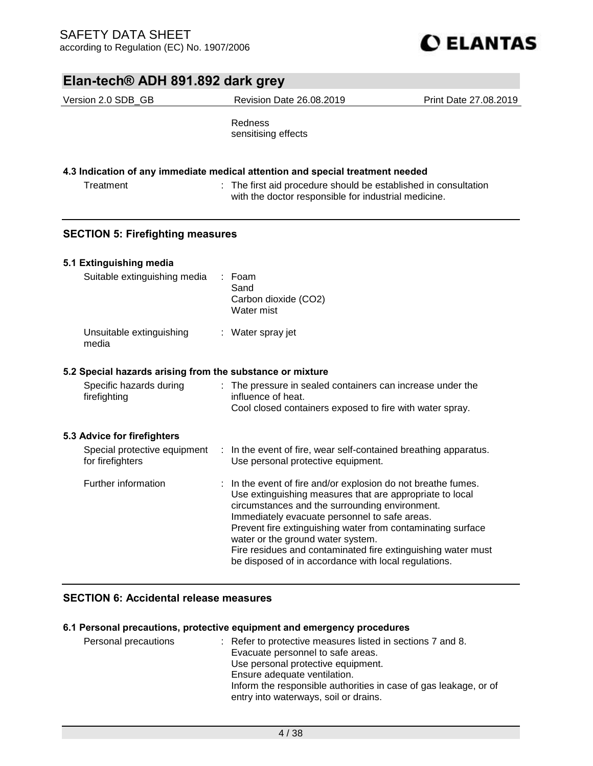| Elan-tech® ADH 891.892 dark grey                          |                                                                                                                                                                                                                                                                                                                                                                                                                                                        |                       |  |
|-----------------------------------------------------------|--------------------------------------------------------------------------------------------------------------------------------------------------------------------------------------------------------------------------------------------------------------------------------------------------------------------------------------------------------------------------------------------------------------------------------------------------------|-----------------------|--|
| Version 2.0 SDB_GB                                        | Revision Date 26.08.2019                                                                                                                                                                                                                                                                                                                                                                                                                               | Print Date 27.08.2019 |  |
|                                                           | Redness<br>sensitising effects                                                                                                                                                                                                                                                                                                                                                                                                                         |                       |  |
|                                                           | 4.3 Indication of any immediate medical attention and special treatment needed                                                                                                                                                                                                                                                                                                                                                                         |                       |  |
| Treatment                                                 | : The first aid procedure should be established in consultation<br>with the doctor responsible for industrial medicine.                                                                                                                                                                                                                                                                                                                                |                       |  |
| <b>SECTION 5: Firefighting measures</b>                   |                                                                                                                                                                                                                                                                                                                                                                                                                                                        |                       |  |
| 5.1 Extinguishing media                                   |                                                                                                                                                                                                                                                                                                                                                                                                                                                        |                       |  |
| Suitable extinguishing media                              | Foam<br>Sand<br>Carbon dioxide (CO2)<br>Water mist                                                                                                                                                                                                                                                                                                                                                                                                     |                       |  |
| Unsuitable extinguishing<br>media                         | : Water spray jet                                                                                                                                                                                                                                                                                                                                                                                                                                      |                       |  |
| 5.2 Special hazards arising from the substance or mixture |                                                                                                                                                                                                                                                                                                                                                                                                                                                        |                       |  |
| Specific hazards during<br>firefighting                   | : The pressure in sealed containers can increase under the<br>influence of heat.<br>Cool closed containers exposed to fire with water spray.                                                                                                                                                                                                                                                                                                           |                       |  |
| 5.3 Advice for firefighters                               |                                                                                                                                                                                                                                                                                                                                                                                                                                                        |                       |  |
| Special protective equipment<br>for firefighters          | : In the event of fire, wear self-contained breathing apparatus.<br>Use personal protective equipment.                                                                                                                                                                                                                                                                                                                                                 |                       |  |
| Further information                                       | In the event of fire and/or explosion do not breathe fumes.<br>Use extinguishing measures that are appropriate to local<br>circumstances and the surrounding environment.<br>Immediately evacuate personnel to safe areas.<br>Prevent fire extinguishing water from contaminating surface<br>water or the ground water system.<br>Fire residues and contaminated fire extinguishing water must<br>be disposed of in accordance with local regulations. |                       |  |

## **SECTION 6: Accidental release measures**

## **6.1 Personal precautions, protective equipment and emergency procedures**

| Personal precautions | : Refer to protective measures listed in sections 7 and 8.       |
|----------------------|------------------------------------------------------------------|
|                      | Evacuate personnel to safe areas.                                |
|                      | Use personal protective equipment.                               |
|                      | Ensure adequate ventilation.                                     |
|                      | Inform the responsible authorities in case of gas leakage, or of |
|                      | entry into waterways, soil or drains.                            |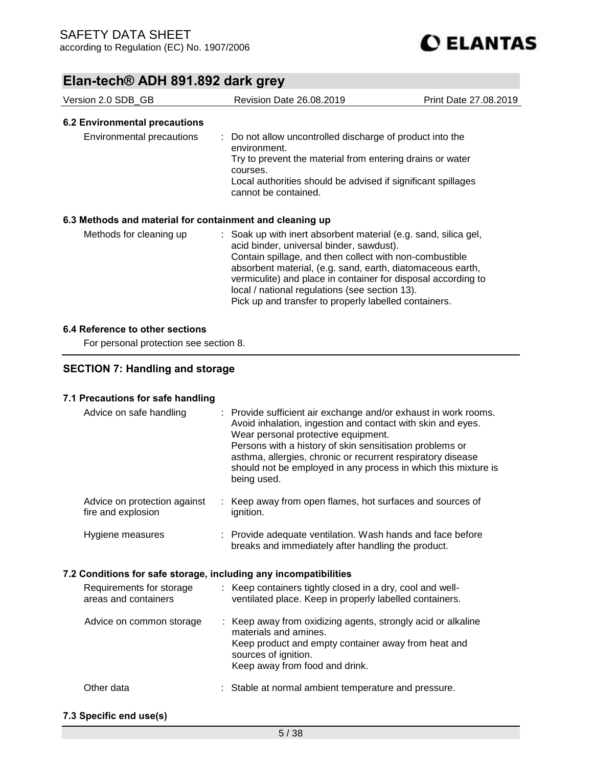| Version 2.0 SDB GB                                       | Revision Date 26.08.2019                                                                                                                                                                                                                                                                                                                                                                                         | Print Date 27,08,2019 |
|----------------------------------------------------------|------------------------------------------------------------------------------------------------------------------------------------------------------------------------------------------------------------------------------------------------------------------------------------------------------------------------------------------------------------------------------------------------------------------|-----------------------|
| 6.2 Environmental precautions                            |                                                                                                                                                                                                                                                                                                                                                                                                                  |                       |
| Environmental precautions                                | : Do not allow uncontrolled discharge of product into the<br>environment.<br>Try to prevent the material from entering drains or water<br>courses.<br>Local authorities should be advised if significant spillages<br>cannot be contained.                                                                                                                                                                       |                       |
| 6.3 Methods and material for containment and cleaning up |                                                                                                                                                                                                                                                                                                                                                                                                                  |                       |
| Methods for cleaning up                                  | : Soak up with inert absorbent material (e.g. sand, silica gel,<br>acid binder, universal binder, sawdust).<br>Contain spillage, and then collect with non-combustible<br>absorbent material, (e.g. sand, earth, diatomaceous earth,<br>vermiculite) and place in container for disposal according to<br>local / national regulations (see section 13).<br>Pick up and transfer to properly labelled containers. |                       |

### **6.4 Reference to other sections**

For personal protection see section 8.

## **SECTION 7: Handling and storage**

## **7.1 Precautions for safe handling**

| Advice on safe handling                                          | : Provide sufficient air exchange and/or exhaust in work rooms.<br>Avoid inhalation, ingestion and contact with skin and eyes.<br>Wear personal protective equipment.<br>Persons with a history of skin sensitisation problems or<br>asthma, allergies, chronic or recurrent respiratory disease<br>should not be employed in any process in which this mixture is<br>being used. |
|------------------------------------------------------------------|-----------------------------------------------------------------------------------------------------------------------------------------------------------------------------------------------------------------------------------------------------------------------------------------------------------------------------------------------------------------------------------|
| Advice on protection against<br>fire and explosion               | Keep away from open flames, hot surfaces and sources of<br>ignition.                                                                                                                                                                                                                                                                                                              |
| Hygiene measures                                                 | : Provide adequate ventilation. Wash hands and face before<br>breaks and immediately after handling the product.                                                                                                                                                                                                                                                                  |
| 7.2 Conditions for safe storage, including any incompatibilities |                                                                                                                                                                                                                                                                                                                                                                                   |
| Requirements for storage<br>areas and containers                 | : Keep containers tightly closed in a dry, cool and well-<br>ventilated place. Keep in properly labelled containers.                                                                                                                                                                                                                                                              |
| Advice on common storage                                         | : Keep away from oxidizing agents, strongly acid or alkaline<br>materials and amines.<br>Keep product and empty container away from heat and<br>sources of ignition.<br>Keep away from food and drink.                                                                                                                                                                            |
| Other data                                                       | : Stable at normal ambient temperature and pressure.                                                                                                                                                                                                                                                                                                                              |
| 7.3 Snacific and usa(s)                                          |                                                                                                                                                                                                                                                                                                                                                                                   |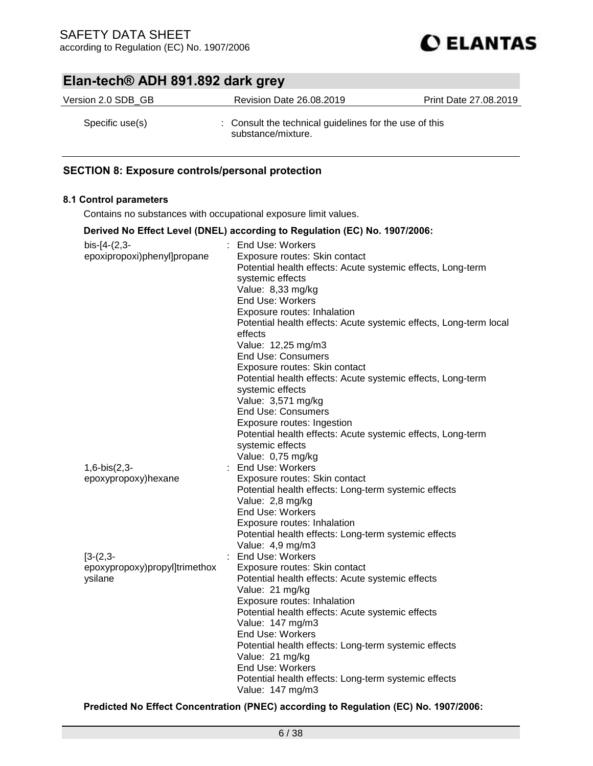

| Version 2.0 SDB GB | <b>Revision Date 26.08.2019</b>                                              | Print Date 27,08,2019 |
|--------------------|------------------------------------------------------------------------------|-----------------------|
| Specific use(s)    | : Consult the technical guidelines for the use of this<br>substance/mixture. |                       |

## **SECTION 8: Exposure controls/personal protection**

### **8.1 Control parameters**

Contains no substances with occupational exposure limit values.

|                                             | Derived No Effect Level (DNEL) according to Regulation (EC) No. 1907/2006:      |
|---------------------------------------------|---------------------------------------------------------------------------------|
| bis-[4-(2,3-                                | : End Use: Workers                                                              |
| epoxipropoxi)phenyl]propane                 | Exposure routes: Skin contact                                                   |
|                                             | Potential health effects: Acute systemic effects, Long-term<br>systemic effects |
|                                             | Value: 8,33 mg/kg                                                               |
|                                             | <b>End Use: Workers</b>                                                         |
|                                             | Exposure routes: Inhalation                                                     |
|                                             | Potential health effects: Acute systemic effects, Long-term local               |
|                                             | effects                                                                         |
|                                             | Value: 12,25 mg/m3                                                              |
|                                             | <b>End Use: Consumers</b>                                                       |
|                                             | Exposure routes: Skin contact                                                   |
|                                             | Potential health effects: Acute systemic effects, Long-term                     |
|                                             | systemic effects                                                                |
|                                             | Value: 3,571 mg/kg                                                              |
|                                             | <b>End Use: Consumers</b>                                                       |
|                                             | Exposure routes: Ingestion                                                      |
|                                             | Potential health effects: Acute systemic effects, Long-term<br>systemic effects |
|                                             | Value: 0,75 mg/kg                                                               |
| $1,6-bis(2,3-$                              | : End Use: Workers                                                              |
| epoxypropoxy)hexane                         | Exposure routes: Skin contact                                                   |
|                                             | Potential health effects: Long-term systemic effects                            |
|                                             | Value: 2,8 mg/kg                                                                |
|                                             | End Use: Workers                                                                |
|                                             | Exposure routes: Inhalation                                                     |
|                                             | Potential health effects: Long-term systemic effects                            |
|                                             | Value: 4,9 mg/m3<br>: End Use: Workers                                          |
| $[3-(2,3-$<br>epoxypropoxy)propyl]trimethox | Exposure routes: Skin contact                                                   |
| ysilane                                     | Potential health effects: Acute systemic effects                                |
|                                             | Value: 21 mg/kg                                                                 |
|                                             | Exposure routes: Inhalation                                                     |
|                                             | Potential health effects: Acute systemic effects                                |
|                                             | Value: 147 mg/m3                                                                |
|                                             | End Use: Workers                                                                |
|                                             | Potential health effects: Long-term systemic effects                            |
|                                             | Value: 21 mg/kg                                                                 |
|                                             | End Use: Workers                                                                |
|                                             | Potential health effects: Long-term systemic effects                            |
|                                             | Value: 147 mg/m3                                                                |
|                                             |                                                                                 |

**Predicted No Effect Concentration (PNEC) according to Regulation (EC) No. 1907/2006:**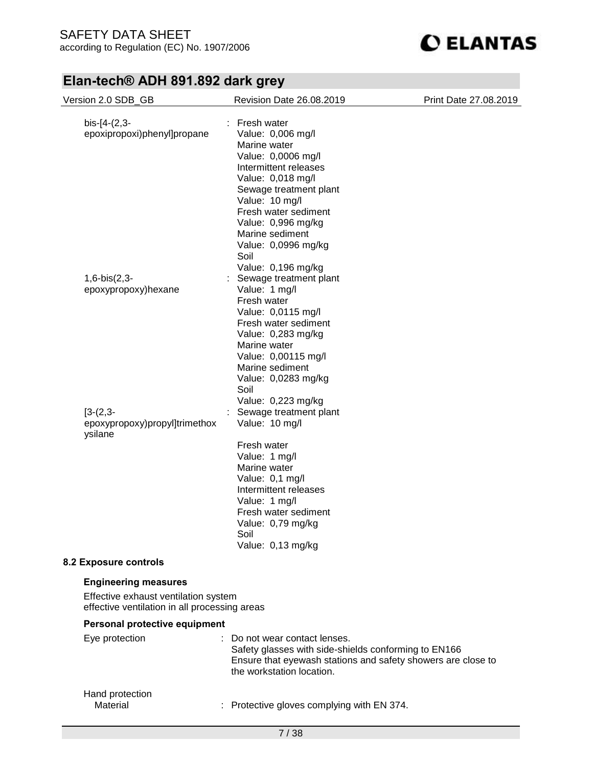

| Version 2.0 SDB_GB                            | Revision Date 26.08.2019                                     | Print Date 27.08.2019 |
|-----------------------------------------------|--------------------------------------------------------------|-----------------------|
|                                               |                                                              |                       |
| $bis-[4-(2,3-$                                | : Fresh water                                                |                       |
| epoxipropoxi)phenyl]propane                   | Value: 0,006 mg/l                                            |                       |
|                                               | Marine water                                                 |                       |
|                                               | Value: 0,0006 mg/l                                           |                       |
|                                               | Intermittent releases                                        |                       |
|                                               | Value: 0,018 mg/l                                            |                       |
|                                               | Sewage treatment plant                                       |                       |
|                                               | Value: 10 mg/l                                               |                       |
|                                               | Fresh water sediment                                         |                       |
|                                               | Value: 0,996 mg/kg                                           |                       |
|                                               | Marine sediment                                              |                       |
|                                               | Value: 0,0996 mg/kg                                          |                       |
|                                               | Soil                                                         |                       |
|                                               | Value: 0,196 mg/kg                                           |                       |
| $1,6-bis(2,3-$                                | Sewage treatment plant                                       |                       |
| epoxypropoxy)hexane                           | Value: 1 mg/l                                                |                       |
|                                               | Fresh water                                                  |                       |
|                                               | Value: 0,0115 mg/l                                           |                       |
|                                               | Fresh water sediment                                         |                       |
|                                               | Value: 0,283 mg/kg                                           |                       |
|                                               | Marine water                                                 |                       |
|                                               | Value: 0,00115 mg/l                                          |                       |
|                                               | Marine sediment                                              |                       |
|                                               | Value: 0,0283 mg/kg                                          |                       |
|                                               | Soil                                                         |                       |
|                                               | Value: 0,223 mg/kg                                           |                       |
| $[3-(2,3-$                                    | Sewage treatment plant                                       |                       |
| epoxypropoxy)propyl]trimethox                 | Value: 10 mg/l                                               |                       |
| ysilane                                       |                                                              |                       |
|                                               | Fresh water                                                  |                       |
|                                               | Value: 1 mg/l                                                |                       |
|                                               | Marine water                                                 |                       |
|                                               | Value: 0,1 mg/l                                              |                       |
|                                               | Intermittent releases                                        |                       |
|                                               | Value: 1 mg/l                                                |                       |
|                                               | Fresh water sediment                                         |                       |
|                                               | Value: 0,79 mg/kg                                            |                       |
|                                               | Soil                                                         |                       |
|                                               | Value: 0,13 mg/kg                                            |                       |
| 8.2 Exposure controls                         |                                                              |                       |
|                                               |                                                              |                       |
| <b>Engineering measures</b>                   |                                                              |                       |
| Effective exhaust ventilation system          |                                                              |                       |
| effective ventilation in all processing areas |                                                              |                       |
| Personal protective equipment                 |                                                              |                       |
| Eye protection                                | Do not wear contact lenses.                                  |                       |
|                                               | Safety glasses with side-shields conforming to EN166         |                       |
|                                               | Ensure that eyewash stations and safety showers are close to |                       |
|                                               | the workstation location.                                    |                       |
|                                               |                                                              |                       |
| Hand protection                               |                                                              |                       |
| Material                                      | Protective gloves complying with EN 374.                     |                       |
|                                               |                                                              |                       |
|                                               | 7/38                                                         |                       |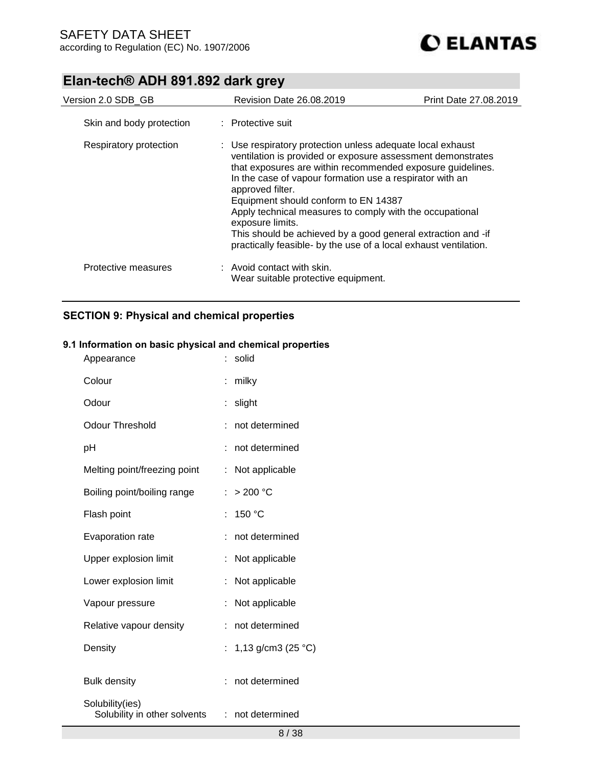| Version 2.0 SDB GB       | <b>Revision Date 26.08.2019</b>                                                                                                                                                                                                                                                                                                                                                                                                                                                                                                     | Print Date 27.08.2019 |
|--------------------------|-------------------------------------------------------------------------------------------------------------------------------------------------------------------------------------------------------------------------------------------------------------------------------------------------------------------------------------------------------------------------------------------------------------------------------------------------------------------------------------------------------------------------------------|-----------------------|
| Skin and body protection | : Protective suit                                                                                                                                                                                                                                                                                                                                                                                                                                                                                                                   |                       |
| Respiratory protection   | : Use respiratory protection unless adequate local exhaust<br>ventilation is provided or exposure assessment demonstrates<br>that exposures are within recommended exposure guidelines.<br>In the case of vapour formation use a respirator with an<br>approved filter.<br>Equipment should conform to EN 14387<br>Apply technical measures to comply with the occupational<br>exposure limits.<br>This should be achieved by a good general extraction and -if<br>practically feasible- by the use of a local exhaust ventilation. |                       |
| Protective measures      | $:$ Avoid contact with skin.<br>Wear suitable protective equipment.                                                                                                                                                                                                                                                                                                                                                                                                                                                                 |                       |

## **SECTION 9: Physical and chemical properties**

## **9.1 Information on basic physical and chemical properties**

| Appearance                                      | solid                    |
|-------------------------------------------------|--------------------------|
| Colour                                          | milky                    |
| Odour                                           | slight<br>÷              |
| <b>Odour Threshold</b>                          | not determined           |
| pH                                              | not determined           |
| Melting point/freezing point                    | Not applicable<br>÷      |
| Boiling point/boiling range                     | > 200 °C<br>t            |
| Flash point                                     | 150 °C<br>t              |
| <b>Evaporation rate</b>                         | not determined           |
| Upper explosion limit                           | Not applicable<br>t      |
| Lower explosion limit                           | Not applicable           |
| Vapour pressure                                 | Not applicable<br>÷      |
| Relative vapour density                         | not determined           |
| Density                                         | 1,13 g/cm3 (25 °C)<br>t. |
| <b>Bulk density</b>                             | not determined           |
| Solubility(ies)<br>Solubility in other solvents | not determined<br>÷      |
|                                                 |                          |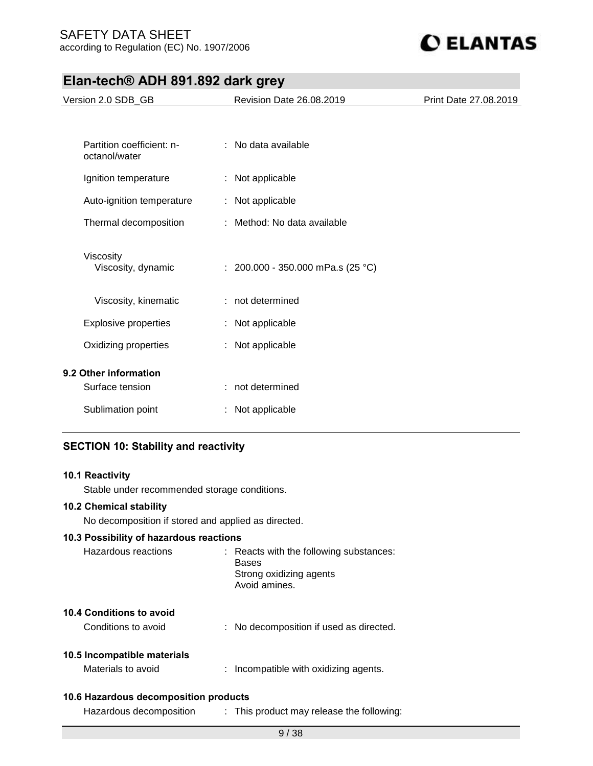

| Version 2.0 SDB_GB                                              | Revision Date 26.08.2019          | Print Date 27.08.2019 |
|-----------------------------------------------------------------|-----------------------------------|-----------------------|
|                                                                 |                                   |                       |
| Partition coefficient: n-<br>octanol/water                      | : No data available               |                       |
| Ignition temperature                                            | : Not applicable                  |                       |
| Auto-ignition temperature                                       | : Not applicable                  |                       |
| Thermal decomposition                                           | : Method: No data available       |                       |
| Viscosity<br>Viscosity, dynamic                                 | : 200.000 - 350.000 mPa.s (25 °C) |                       |
| Viscosity, kinematic                                            | : not determined                  |                       |
| <b>Explosive properties</b>                                     | : Not applicable                  |                       |
| Oxidizing properties                                            | : Not applicable                  |                       |
| 9.2 Other information                                           |                                   |                       |
| Surface tension                                                 | : not determined                  |                       |
| Sublimation point                                               | : Not applicable                  |                       |
| <b>SECTION 10: Stability and reactivity</b>                     |                                   |                       |
| 10.1 Reactivity<br>Stable under recommended storage conditions. |                                   |                       |

### **10.2 Chemical stability**

No decomposition if stored and applied as directed.

# **10.3 Possibility of hazardous reactions**

| Hazardous reactions                               | : Reacts with the following substances:<br><b>Bases</b><br>Strong oxidizing agents<br>Avoid amines. |
|---------------------------------------------------|-----------------------------------------------------------------------------------------------------|
| 10.4 Conditions to avoid<br>Conditions to avoid   | : No decomposition if used as directed.                                                             |
| 10.5 Incompatible materials<br>Materials to avoid | : Incompatible with oxidizing agents.                                                               |
| 10.6 Hazardous decomposition products             |                                                                                                     |

Hazardous decomposition : This product may release the following: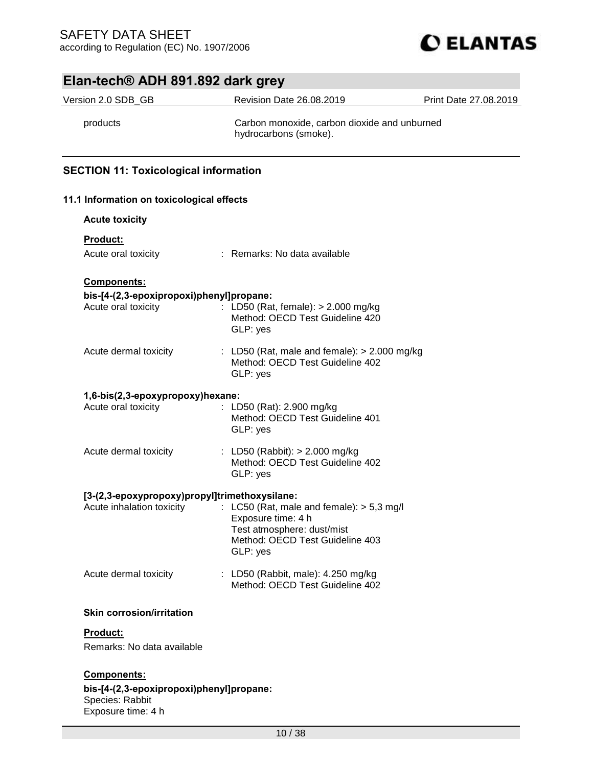

| Version 2.0 SDB_GB                                                         | <b>Revision Date 26.08.2019</b>                                        | Print Date 27.08.2019 |
|----------------------------------------------------------------------------|------------------------------------------------------------------------|-----------------------|
| products                                                                   | Carbon monoxide, carbon dioxide and unburned<br>hydrocarbons (smoke).  |                       |
| <b>SECTION 11: Toxicological information</b>                               |                                                                        |                       |
| 11.1 Information on toxicological effects                                  |                                                                        |                       |
| <b>Acute toxicity</b>                                                      |                                                                        |                       |
| Product:                                                                   |                                                                        |                       |
| Acute oral toxicity                                                        | : Remarks: No data available                                           |                       |
| Components:                                                                |                                                                        |                       |
| bis-[4-(2,3-epoxipropoxi)phenyl]propane:                                   |                                                                        |                       |
| Acute oral toxicity                                                        | : LD50 (Rat, female): > 2.000 mg/kg<br>Method: OECD Test Guideline 420 |                       |
|                                                                            | GLP: yes                                                               |                       |
| Acute dermal toxicity                                                      | : LD50 (Rat, male and female): $> 2.000$ mg/kg                         |                       |
|                                                                            | Method: OECD Test Guideline 402<br>GLP: yes                            |                       |
| 1,6-bis(2,3-epoxypropoxy)hexane:                                           |                                                                        |                       |
| Acute oral toxicity                                                        | : LD50 (Rat): 2.900 mg/kg                                              |                       |
|                                                                            | Method: OECD Test Guideline 401<br>GLP: yes                            |                       |
| Acute dermal toxicity                                                      | : LD50 (Rabbit): $> 2.000$ mg/kg                                       |                       |
|                                                                            | Method: OECD Test Guideline 402                                        |                       |
|                                                                            | GLP: yes                                                               |                       |
| [3-(2,3-epoxypropoxy)propyl]trimethoxysilane:<br>Acute inhalation toxicity | : LC50 (Rat, male and female): $> 5.3$ mg/l                            |                       |
|                                                                            | Exposure time: 4 h                                                     |                       |
|                                                                            | Test atmosphere: dust/mist<br>Method: OECD Test Guideline 403          |                       |
|                                                                            | GLP: yes                                                               |                       |
| Acute dermal toxicity                                                      | : LD50 (Rabbit, male): 4.250 mg/kg                                     |                       |
|                                                                            | Method: OECD Test Guideline 402                                        |                       |
| <b>Skin corrosion/irritation</b>                                           |                                                                        |                       |
| Product:                                                                   |                                                                        |                       |
| Remarks: No data available                                                 |                                                                        |                       |

Species: Rabbit Exposure time: 4 h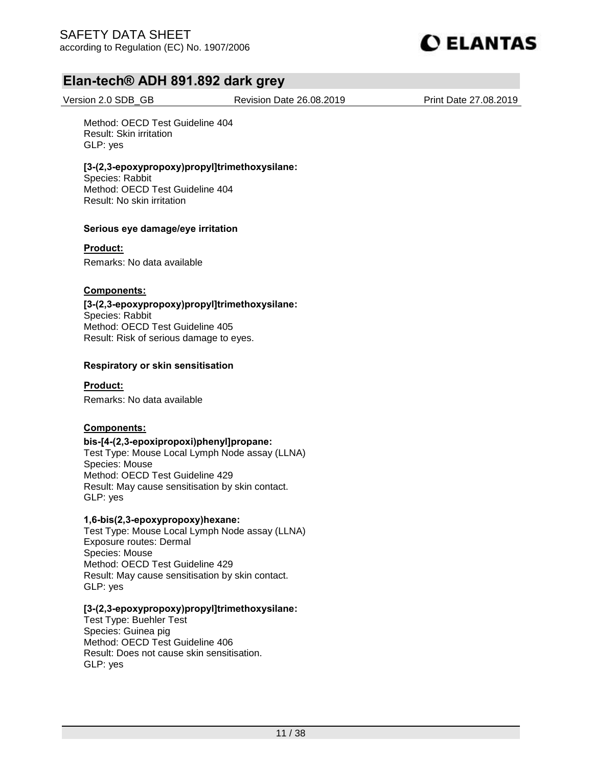

Version 2.0 SDB\_GB Revision Date 26.08.2019 Print Date 27.08.2019

Method: OECD Test Guideline 404 Result: Skin irritation GLP: yes

### **[3-(2,3-epoxypropoxy)propyl]trimethoxysilane:**

Species: Rabbit Method: OECD Test Guideline 404 Result: No skin irritation

### **Serious eye damage/eye irritation**

**Product:**

Remarks: No data available

### **Components:**

**[3-(2,3-epoxypropoxy)propyl]trimethoxysilane:**  Species: Rabbit Method: OECD Test Guideline 405 Result: Risk of serious damage to eyes.

### **Respiratory or skin sensitisation**

**Product:**

Remarks: No data available

### **Components:**

### **bis-[4-(2,3-epoxipropoxi)phenyl]propane:**

Test Type: Mouse Local Lymph Node assay (LLNA) Species: Mouse Method: OECD Test Guideline 429 Result: May cause sensitisation by skin contact. GLP: yes

### **1,6-bis(2,3-epoxypropoxy)hexane:**

Test Type: Mouse Local Lymph Node assay (LLNA) Exposure routes: Dermal Species: Mouse Method: OECD Test Guideline 429 Result: May cause sensitisation by skin contact. GLP: yes

### **[3-(2,3-epoxypropoxy)propyl]trimethoxysilane:**

Test Type: Buehler Test Species: Guinea pig Method: OECD Test Guideline 406 Result: Does not cause skin sensitisation. GLP: yes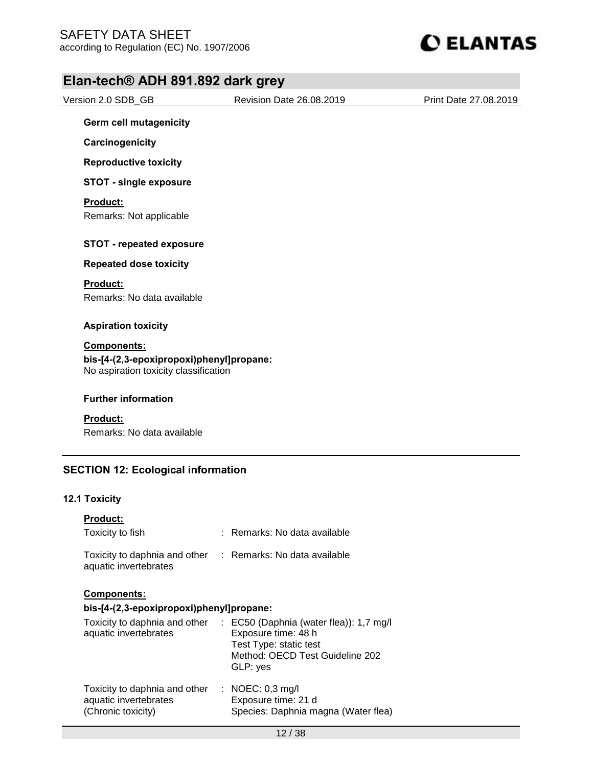

| Version 2.0 SDB_GB                                                                | Revision Date 26.08.2019 | Print Date 27.08.2019 |
|-----------------------------------------------------------------------------------|--------------------------|-----------------------|
| <b>Germ cell mutagenicity</b>                                                     |                          |                       |
| Carcinogenicity                                                                   |                          |                       |
| <b>Reproductive toxicity</b>                                                      |                          |                       |
| <b>STOT - single exposure</b>                                                     |                          |                       |
| <b>Product:</b>                                                                   |                          |                       |
| Remarks: Not applicable                                                           |                          |                       |
| <b>STOT - repeated exposure</b>                                                   |                          |                       |
| <b>Repeated dose toxicity</b>                                                     |                          |                       |
| <b>Product:</b>                                                                   |                          |                       |
| Remarks: No data available                                                        |                          |                       |
| <b>Aspiration toxicity</b>                                                        |                          |                       |
| <b>Components:</b>                                                                |                          |                       |
| bis-[4-(2,3-epoxipropoxi)phenyl]propane:<br>No aspiration toxicity classification |                          |                       |
|                                                                                   |                          |                       |
| <b>Further information</b>                                                        |                          |                       |
| <b>Product:</b>                                                                   |                          |                       |
| Remarks: No data available                                                        |                          |                       |
|                                                                                   |                          |                       |

## **SECTION 12: Ecological information**

## **12.1 Toxicity**

| <b>Product:</b><br>Toxicity to fish                                          | : Remarks: No data available                                                                                                                       |
|------------------------------------------------------------------------------|----------------------------------------------------------------------------------------------------------------------------------------------------|
| aquatic invertebrates                                                        | Toxicity to daphnia and other : Remarks: No data available                                                                                         |
| <b>Components:</b><br>bis-[4-(2,3-epoxipropoxi)phenyl]propane:               |                                                                                                                                                    |
| Toxicity to daphnia and other<br>aquatic invertebrates                       | $\therefore$ EC50 (Daphnia (water flea)): 1,7 mg/l<br>Exposure time: 48 h<br>Test Type: static test<br>Method: OECD Test Guideline 202<br>GLP: yes |
| Toxicity to daphnia and other<br>aquatic invertebrates<br>(Chronic toxicity) | $\therefore$ NOEC: 0,3 mg/l<br>Exposure time: 21 d<br>Species: Daphnia magna (Water flea)                                                          |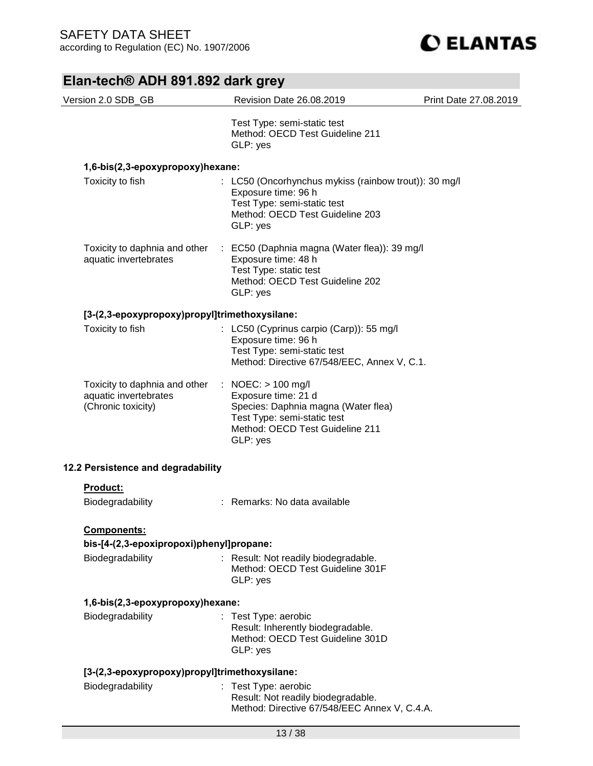

| Version 2.0 SDB_GB                                                           | Revision Date 26.08.2019                                                                                                                                         | Print Date 27.08.2019 |
|------------------------------------------------------------------------------|------------------------------------------------------------------------------------------------------------------------------------------------------------------|-----------------------|
|                                                                              | Test Type: semi-static test<br>Method: OECD Test Guideline 211<br>GLP: yes                                                                                       |                       |
| 1,6-bis(2,3-epoxypropoxy)hexane:                                             |                                                                                                                                                                  |                       |
| Toxicity to fish                                                             | : LC50 (Oncorhynchus mykiss (rainbow trout)): 30 mg/l<br>Exposure time: 96 h<br>Test Type: semi-static test<br>Method: OECD Test Guideline 203<br>GLP: yes       |                       |
| Toxicity to daphnia and other<br>aquatic invertebrates                       | : EC50 (Daphnia magna (Water flea)): 39 mg/l<br>Exposure time: 48 h<br>Test Type: static test<br>Method: OECD Test Guideline 202<br>GLP: yes                     |                       |
| [3-(2,3-epoxypropoxy)propyl]trimethoxysilane:                                |                                                                                                                                                                  |                       |
| Toxicity to fish                                                             | : LC50 (Cyprinus carpio (Carp)): 55 mg/l<br>Exposure time: 96 h<br>Test Type: semi-static test<br>Method: Directive 67/548/EEC, Annex V, C.1.                    |                       |
| Toxicity to daphnia and other<br>aquatic invertebrates<br>(Chronic toxicity) | : NOEC: $> 100$ mg/l<br>Exposure time: 21 d<br>Species: Daphnia magna (Water flea)<br>Test Type: semi-static test<br>Method: OECD Test Guideline 211<br>GLP: yes |                       |
| 12.2 Persistence and degradability                                           |                                                                                                                                                                  |                       |
| Product:                                                                     |                                                                                                                                                                  |                       |
| Biodegradability                                                             | : Remarks: No data available                                                                                                                                     |                       |
| Components:                                                                  |                                                                                                                                                                  |                       |
| bis-[4-(2,3-epoxipropoxi)phenyl]propane:                                     |                                                                                                                                                                  |                       |
| Biodegradability                                                             | : Result: Not readily biodegradable.<br>Method: OECD Test Guideline 301F<br>GLP: yes                                                                             |                       |
| 1,6-bis(2,3-epoxypropoxy)hexane:                                             |                                                                                                                                                                  |                       |
| Biodegradability                                                             | : Test Type: aerobic<br>Result: Inherently biodegradable.<br>Method: OECD Test Guideline 301D<br>GLP: yes                                                        |                       |
| [3-(2,3-epoxypropoxy)propyl]trimethoxysilane:                                |                                                                                                                                                                  |                       |
| Biodegradability                                                             | : Test Type: aerobic<br>Result: Not readily biodegradable.<br>Method: Directive 67/548/EEC Annex V, C.4.A.                                                       |                       |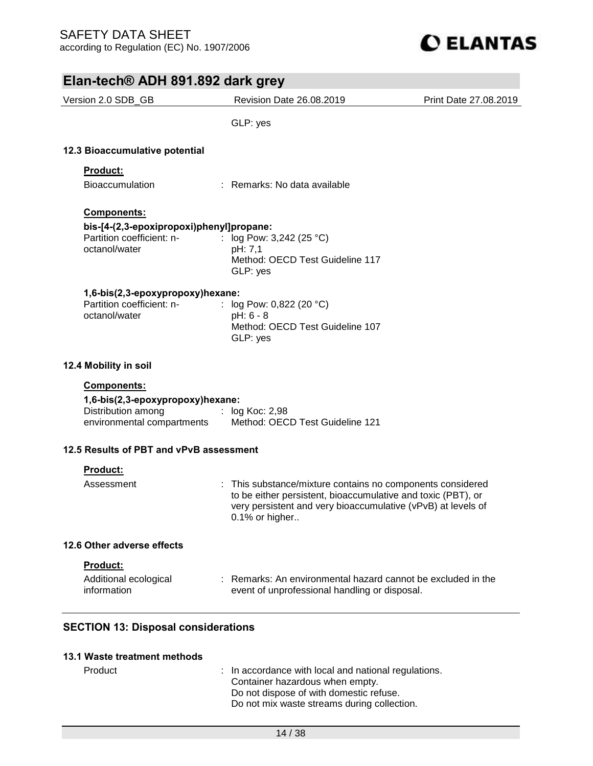

| Elan-tech® ADH 891.892 dark grey                                                                      |                                                                                                                                                                                                              |                       |
|-------------------------------------------------------------------------------------------------------|--------------------------------------------------------------------------------------------------------------------------------------------------------------------------------------------------------------|-----------------------|
| Version 2.0 SDB_GB                                                                                    | <b>Revision Date 26.08.2019</b>                                                                                                                                                                              | Print Date 27.08.2019 |
|                                                                                                       | GLP: yes                                                                                                                                                                                                     |                       |
| 12.3 Bioaccumulative potential                                                                        |                                                                                                                                                                                                              |                       |
| Product:                                                                                              |                                                                                                                                                                                                              |                       |
| <b>Bioaccumulation</b>                                                                                | : Remarks: No data available                                                                                                                                                                                 |                       |
| Components:<br>bis-[4-(2,3-epoxipropoxi)phenyl]propane:<br>Partition coefficient: n-<br>octanol/water | : $log Pow: 3,242 (25 °C)$<br>pH: 7,1<br>Method: OECD Test Guideline 117<br>GLP: yes                                                                                                                         |                       |
| 1,6-bis(2,3-epoxypropoxy)hexane:<br>Partition coefficient: n-<br>octanol/water                        | : $log Pow: 0,822 (20 °C)$<br>pH: 6 - 8<br>Method: OECD Test Guideline 107<br>GLP: yes                                                                                                                       |                       |
| 12.4 Mobility in soil                                                                                 |                                                                                                                                                                                                              |                       |
| Components:<br>1,6-bis(2,3-epoxypropoxy)hexane:<br>Distribution among<br>environmental compartments   | $:$ log Koc: 2,98<br>Method: OECD Test Guideline 121                                                                                                                                                         |                       |
| 12.5 Results of PBT and vPvB assessment                                                               |                                                                                                                                                                                                              |                       |
| <b>Product:</b>                                                                                       |                                                                                                                                                                                                              |                       |
| Assessment                                                                                            | : This substance/mixture contains no components considered<br>to be either persistent, bioaccumulative and toxic (PBT), or<br>very persistent and very bioaccumulative (vPvB) at levels of<br>0.1% or higher |                       |
| 12.6 Other adverse effects                                                                            |                                                                                                                                                                                                              |                       |
| Product:                                                                                              |                                                                                                                                                                                                              |                       |
| Additional ecological<br>information                                                                  | Remarks: An environmental hazard cannot be excluded in the<br>event of unprofessional handling or disposal.                                                                                                  |                       |
| <b>SECTION 13: Disposal considerations</b>                                                            |                                                                                                                                                                                                              |                       |

### **13.1 Waste treatment methods**

| Product |
|---------|
|---------|

: In accordance with local and national regulations. Container hazardous when empty. Do not dispose of with domestic refuse. Do not mix waste streams during collection.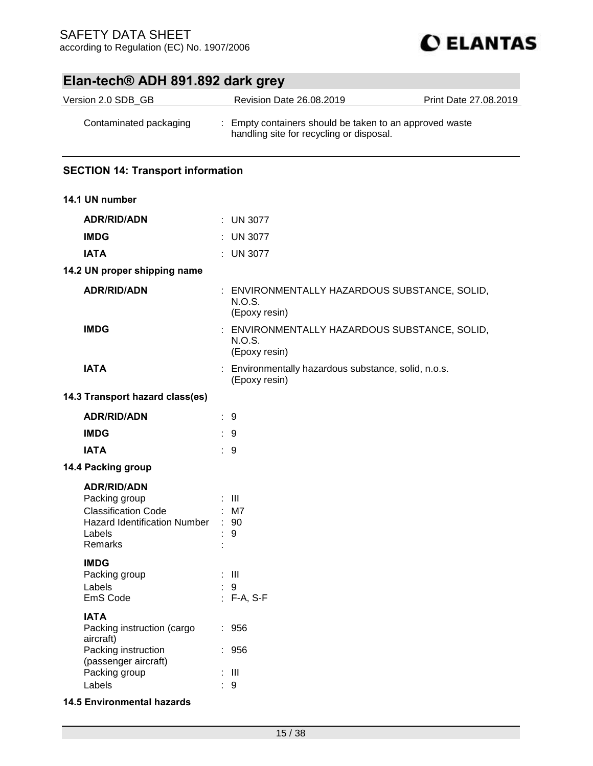

| Version 2.0 SDB_GB                                                                                                          | Revision Date 26.08.2019                                                                            | Print Date 27.08.2019 |
|-----------------------------------------------------------------------------------------------------------------------------|-----------------------------------------------------------------------------------------------------|-----------------------|
| Contaminated packaging                                                                                                      | : Empty containers should be taken to an approved waste<br>handling site for recycling or disposal. |                       |
| <b>SECTION 14: Transport information</b>                                                                                    |                                                                                                     |                       |
| 14.1 UN number                                                                                                              |                                                                                                     |                       |
| <b>ADR/RID/ADN</b>                                                                                                          | $:$ UN 3077                                                                                         |                       |
| <b>IMDG</b>                                                                                                                 | $:$ UN 3077                                                                                         |                       |
| <b>IATA</b>                                                                                                                 | : UN 3077                                                                                           |                       |
| 14.2 UN proper shipping name                                                                                                |                                                                                                     |                       |
| <b>ADR/RID/ADN</b>                                                                                                          | : ENVIRONMENTALLY HAZARDOUS SUBSTANCE, SOLID,<br>N.O.S.<br>(Epoxy resin)                            |                       |
| <b>IMDG</b>                                                                                                                 | ENVIRONMENTALLY HAZARDOUS SUBSTANCE, SOLID,<br>N.O.S.<br>(Epoxy resin)                              |                       |
| <b>IATA</b>                                                                                                                 | : Environmentally hazardous substance, solid, n.o.s.<br>(Epoxy resin)                               |                       |
| 14.3 Transport hazard class(es)                                                                                             |                                                                                                     |                       |
| <b>ADR/RID/ADN</b>                                                                                                          | $\therefore$ 9                                                                                      |                       |
| <b>IMDG</b>                                                                                                                 | $\therefore$ 9                                                                                      |                       |
| <b>IATA</b>                                                                                                                 | $\therefore$ 9                                                                                      |                       |
| 14.4 Packing group                                                                                                          |                                                                                                     |                       |
| <b>ADR/RID/ADN</b><br>Packing group<br><b>Classification Code</b><br>Hazard Identification Number : 90<br>Labels<br>Remarks | $\pm$ 111<br>$:$ M7<br>9                                                                            |                       |
| <b>IMDG</b><br>Packing group<br>Labels<br>EmS Code                                                                          | $\pm$ III<br>9<br>: F-A, S-F                                                                        |                       |
| <b>IATA</b><br>Packing instruction (cargo<br>aircraft)                                                                      | : 956                                                                                               |                       |
| Packing instruction<br>(passenger aircraft)<br>Packing group<br>Labels                                                      | : 956<br>$\mathbf{H}$<br>$9\,$                                                                      |                       |

**14.5 Environmental hazards**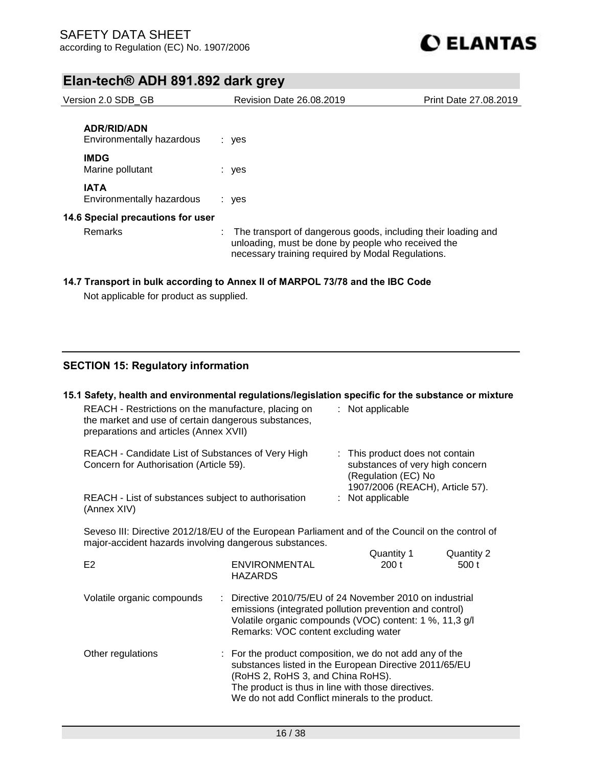

| Version 2.0 SDB GB                              | <b>Revision Date 26,08,2019</b>                                                                                                                                          | Print Date 27.08.2019 |
|-------------------------------------------------|--------------------------------------------------------------------------------------------------------------------------------------------------------------------------|-----------------------|
| <b>ADR/RID/ADN</b><br>Environmentally hazardous | : yes                                                                                                                                                                    |                       |
| <b>IMDG</b><br>Marine pollutant                 | : yes                                                                                                                                                                    |                       |
| <b>IATA</b><br>Environmentally hazardous        | $:$ yes                                                                                                                                                                  |                       |
| 14.6 Special precautions for user               |                                                                                                                                                                          |                       |
| Remarks                                         | The transport of dangerous goods, including their loading and<br>unloading, must be done by people who received the<br>necessary training required by Modal Regulations. |                       |

### **14.7 Transport in bulk according to Annex II of MARPOL 73/78 and the IBC Code**

Not applicable for product as supplied.

## **SECTION 15: Regulatory information**

### **15.1 Safety, health and environmental regulations/legislation specific for the substance or mixture** REACH - Restrictions on the manufacture, placing on the market and use of certain dangerous substances, preparations and articles (Annex XVII) : Not applicable REACH - Candidate List of Substances of Very High Concern for Authorisation (Article 59). : This product does not contain substances of very high concern (Regulation (EC) No 1907/2006 (REACH), Article 57). REACH - List of substances subject to authorisation (Annex XIV) : Not applicable Seveso III: Directive 2012/18/EU of the European Parliament and of the Council on the control of major-accident hazards involving dangerous substances. Quantity 1 Quantity 2 E2 ENVIRONMENTAL HAZARDS 200 t 500 t Volatile organic compounds : Directive 2010/75/EU of 24 November 2010 on industrial emissions (integrated pollution prevention and control) Volatile organic compounds (VOC) content: 1 %, 11,3 g/l Remarks: VOC content excluding water Other regulations : For the product composition, we do not add any of the substances listed in the European Directive 2011/65/EU (RoHS 2, RoHS 3, and China RoHS).